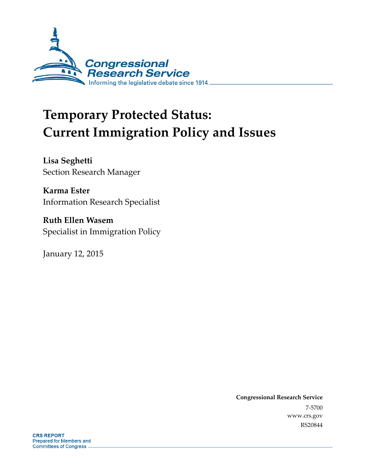

# **Temporary Protected Status: Current Immigration Policy and Issues**

**Lisa Seghetti**  Section Research Manager

**Karma Ester**  Information Research Specialist

**Ruth Ellen Wasem**  Specialist in Immigration Policy

January 12, 2015

**Congressional Research Service**  7-5700 www.crs.gov RS20844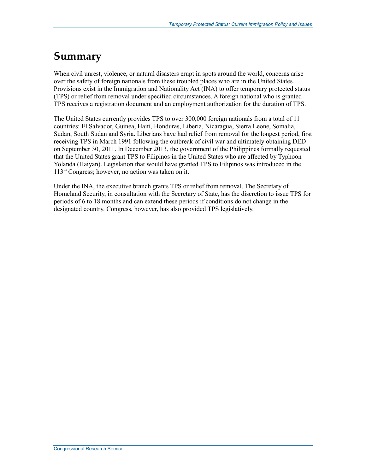### **Summary**

When civil unrest, violence, or natural disasters erupt in spots around the world, concerns arise over the safety of foreign nationals from these troubled places who are in the United States. Provisions exist in the Immigration and Nationality Act (INA) to offer temporary protected status (TPS) or relief from removal under specified circumstances. A foreign national who is granted TPS receives a registration document and an employment authorization for the duration of TPS.

The United States currently provides TPS to over 300,000 foreign nationals from a total of 11 countries: El Salvador, Guinea, Haiti, Honduras, Liberia, Nicaragua, Sierra Leone, Somalia, Sudan, South Sudan and Syria. Liberians have had relief from removal for the longest period, first receiving TPS in March 1991 following the outbreak of civil war and ultimately obtaining DED on September 30, 2011. In December 2013, the government of the Philippines formally requested that the United States grant TPS to Filipinos in the United States who are affected by Typhoon Yolanda (Haiyan). Legislation that would have granted TPS to Filipinos was introduced in the 113th Congress; however, no action was taken on it.

Under the INA, the executive branch grants TPS or relief from removal. The Secretary of Homeland Security, in consultation with the Secretary of State, has the discretion to issue TPS for periods of 6 to 18 months and can extend these periods if conditions do not change in the designated country. Congress, however, has also provided TPS legislatively.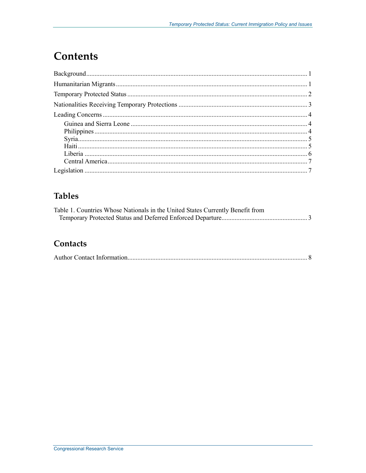### **Contents**

### **Tables**

| Table 1. Countries Whose Nationals in the United States Currently Benefit from |  |
|--------------------------------------------------------------------------------|--|
|                                                                                |  |

#### Contacts

|--|--|--|--|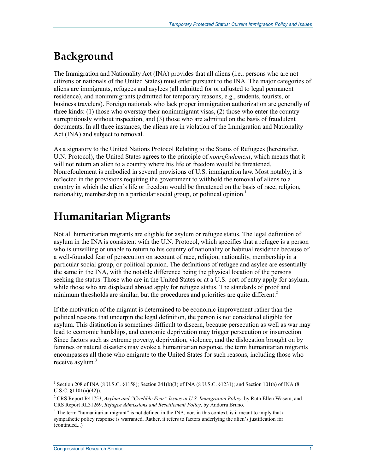## **Background**

The Immigration and Nationality Act (INA) provides that all aliens (i.e., persons who are not citizens or nationals of the United States) must enter pursuant to the INA. The major categories of aliens are immigrants, refugees and asylees (all admitted for or adjusted to legal permanent residence), and nonimmigrants (admitted for temporary reasons, e.g., students, tourists, or business travelers). Foreign nationals who lack proper immigration authorization are generally of three kinds: (1) those who overstay their nonimmigrant visas, (2) those who enter the country surreptitiously without inspection, and (3) those who are admitted on the basis of fraudulent documents. In all three instances, the aliens are in violation of the Immigration and Nationality Act (INA) and subject to removal.

As a signatory to the United Nations Protocol Relating to the Status of Refugees (hereinafter, U.N. Protocol), the United States agrees to the principle of *nonrefoulement*, which means that it will not return an alien to a country where his life or freedom would be threatened. Nonrefoulement is embodied in several provisions of U.S. immigration law. Most notably, it is reflected in the provisions requiring the government to withhold the removal of aliens to a country in which the alien's life or freedom would be threatened on the basis of race, religion, nationality, membership in a particular social group, or political opinion.<sup>1</sup>

## **Humanitarian Migrants**

Not all humanitarian migrants are eligible for asylum or refugee status. The legal definition of asylum in the INA is consistent with the U.N. Protocol, which specifies that a refugee is a person who is unwilling or unable to return to his country of nationality or habitual residence because of a well-founded fear of persecution on account of race, religion, nationality, membership in a particular social group, or political opinion. The definitions of refugee and asylee are essentially the same in the INA, with the notable difference being the physical location of the persons seeking the status. Those who are in the United States or at a U.S. port of entry apply for asylum, while those who are displaced abroad apply for refugee status. The standards of proof and minimum thresholds are similar, but the procedures and priorities are quite different.<sup>2</sup>

If the motivation of the migrant is determined to be economic improvement rather than the political reasons that underpin the legal definition, the person is not considered eligible for asylum. This distinction is sometimes difficult to discern, because persecution as well as war may lead to economic hardships, and economic deprivation may trigger persecution or insurrection. Since factors such as extreme poverty, deprivation, violence, and the dislocation brought on by famines or natural disasters may evoke a humanitarian response, the term humanitarian migrants encompasses all those who emigrate to the United States for such reasons, including those who receive asylum.<sup>3</sup>

<sup>&</sup>lt;sup>1</sup> Section 208 of INA (8 U.S.C. §1158); Section 241(b)(3) of INA (8 U.S.C. §1231); and Section 101(a) of INA (8 U.S.C. §1101(a)(42)).

<sup>2</sup> CRS Report R41753, *Asylum and "Credible Fear" Issues in U.S. Immigration Policy*, by Ruth Ellen Wasem; and CRS Report RL31269, *Refugee Admissions and Resettlement Policy*, by Andorra Bruno.

 $3$  The term "humanitarian migrant" is not defined in the INA, nor, in this context, is it meant to imply that a sympathetic policy response is warranted. Rather, it refers to factors underlying the alien's justification for (continued...)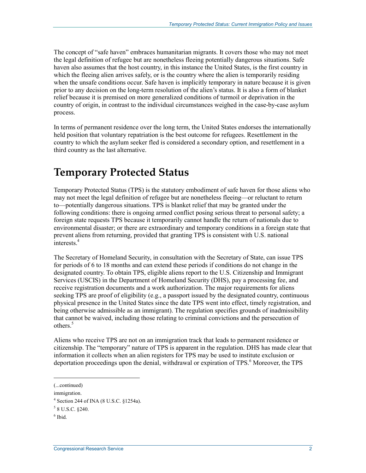The concept of "safe haven" embraces humanitarian migrants. It covers those who may not meet the legal definition of refugee but are nonetheless fleeing potentially dangerous situations. Safe haven also assumes that the host country, in this instance the United States, is the first country in which the fleeing alien arrives safely, or is the country where the alien is temporarily residing when the unsafe conditions occur. Safe haven is implicitly temporary in nature because it is given prior to any decision on the long-term resolution of the alien's status. It is also a form of blanket relief because it is premised on more generalized conditions of turmoil or deprivation in the country of origin, in contrast to the individual circumstances weighed in the case-by-case asylum process.

In terms of permanent residence over the long term, the United States endorses the internationally held position that voluntary repatriation is the best outcome for refugees. Resettlement in the country to which the asylum seeker fled is considered a secondary option, and resettlement in a third country as the last alternative.

### **Temporary Protected Status**

Temporary Protected Status (TPS) is the statutory embodiment of safe haven for those aliens who may not meet the legal definition of refugee but are nonetheless fleeing—or reluctant to return to—potentially dangerous situations. TPS is blanket relief that may be granted under the following conditions: there is ongoing armed conflict posing serious threat to personal safety; a foreign state requests TPS because it temporarily cannot handle the return of nationals due to environmental disaster; or there are extraordinary and temporary conditions in a foreign state that prevent aliens from returning, provided that granting TPS is consistent with U.S. national interests.4

The Secretary of Homeland Security, in consultation with the Secretary of State, can issue TPS for periods of 6 to 18 months and can extend these periods if conditions do not change in the designated country. To obtain TPS, eligible aliens report to the U.S. Citizenship and Immigrant Services (USCIS) in the Department of Homeland Security (DHS), pay a processing fee, and receive registration documents and a work authorization. The major requirements for aliens seeking TPS are proof of eligibility (e.g., a passport issued by the designated country, continuous physical presence in the United States since the date TPS went into effect, timely registration, and being otherwise admissible as an immigrant). The regulation specifies grounds of inadmissibility that cannot be waived, including those relating to criminal convictions and the persecution of others.<sup>5</sup>

Aliens who receive TPS are not on an immigration track that leads to permanent residence or citizenship. The "temporary" nature of TPS is apparent in the regulation. DHS has made clear that information it collects when an alien registers for TPS may be used to institute exclusion or deportation proceedings upon the denial, withdrawal or expiration of TPS.<sup>6</sup> Moreover, the TPS

<sup>(...</sup>continued)

immigration.

<sup>4</sup> Section 244 of INA (8 U.S.C. §1254a).

 $5$  8 U.S.C. §240.

<sup>6</sup> Ibid.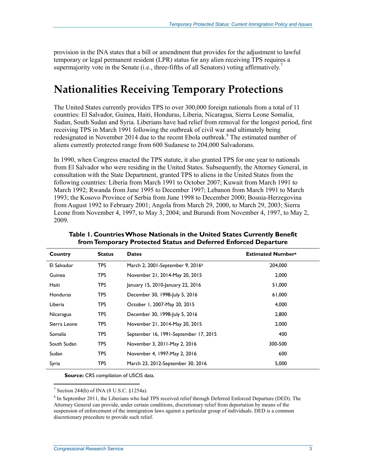provision in the INA states that a bill or amendment that provides for the adjustment to lawful temporary or legal permanent resident (LPR) status for any alien receiving TPS requires a supermajority vote in the Senate (i.e., three-fifths of all Senators) voting affirmatively.<sup>7</sup>

### **Nationalities Receiving Temporary Protections**

The United States currently provides TPS to over 300,000 foreign nationals from a total of 11 countries: El Salvador, Guinea, Haiti, Honduras, Liberia, Nicaragua, Sierra Leone Somalia, Sudan, South Sudan and Syria. Liberians have had relief from removal for the longest period, first receiving TPS in March 1991 following the outbreak of civil war and ultimately being redesignated in November 2014 due to the recent Ebola outbreak.<sup>8</sup> The estimated number of aliens currently protected range from 600 Sudanese to 204,000 Salvadorans.

In 1990, when Congress enacted the TPS statute, it also granted TPS for one year to nationals from El Salvador who were residing in the United States. Subsequently, the Attorney General, in consultation with the State Department, granted TPS to aliens in the United States from the following countries: Liberia from March 1991 to October 2007; Kuwait from March 1991 to March 1992; Rwanda from June 1995 to December 1997; Lebanon from March 1991 to March 1993; the Kosovo Province of Serbia from June 1998 to December 2000; Bosnia-Herzegovina from August 1992 to February 2001; Angola from March 29, 2000, to March 29, 2003; Sierra Leone from November 4, 1997, to May 3, 2004; and Burundi from November 4, 1997, to May 2, 2009.

| Country         | <b>Status</b> | <b>Dates</b>                                 | <b>Estimated Numbera</b> |
|-----------------|---------------|----------------------------------------------|--------------------------|
| El Salvador     | <b>TPS</b>    | March 2, 2001-September 9, 2016 <sup>b</sup> | 204.000                  |
| Guinea          | <b>TPS</b>    | November 21, 2014-May 20, 2015               | 2.000                    |
| Haiti           | <b>TPS</b>    | January 15, 2010-January 22, 2016            | 51,000                   |
| <b>Honduras</b> | <b>TPS</b>    | December 30, 1998-July 5, 2016               | 61,000                   |
| Liberia         | <b>TPS</b>    | October 1, 2007-May 20, 2015                 | 4,000                    |
| Nicaragua       | <b>TPS</b>    | December 30, 1998-July 5, 2016               | 2,800                    |
| Sierra Leone    | <b>TPS</b>    | November 21, 2014-May 20, 2015               | 2,000                    |
| Somalia         | <b>TPS</b>    | September 16, 1991-September 17, 2015        | 400                      |
| South Sudan     | <b>TPS</b>    | November 3, 2011-May 2, 2016                 | 300-500                  |
| Sudan           | <b>TPS</b>    | November 4, 1997-May 2, 2016                 | 600                      |
| Syria           | <b>TPS</b>    | March 23, 2012-September 30, 2016            | 5,000                    |

**Table 1. Countries Whose Nationals in the United States Currently Benefit from Temporary Protected Status and Deferred Enforced Departure** 

**Source:** CRS compilation of USCIS data.

7 Section 244(h) of INA (8 U.S.C. §1254a).

<sup>&</sup>lt;sup>8</sup> In September 2011, the Liberians who had TPS received relief through Deferred Enforced Departure (DED). The Attorney General can provide, under certain conditions, discretionary relief from deportation by means of the suspension of enforcement of the immigration laws against a particular group of individuals. DED is a common discretionary procedure to provide such relief.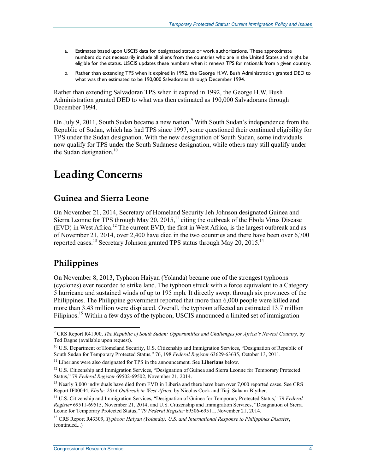- a. Estimates based upon USCIS data for designated status or work authorizations. These approximate numbers do not necessarily include all aliens from the countries who are in the United States and might be eligible for the status. USCIS updates these numbers when it renews TPS for nationals from a given country.
- b. Rather than extending TPS when it expired in 1992, the George H.W. Bush Administration granted DED to what was then estimated to be 190,000 Salvadorans through December 1994.

Rather than extending Salvadoran TPS when it expired in 1992, the George H.W. Bush Administration granted DED to what was then estimated as 190,000 Salvadorans through December 1994.

On July 9, 2011, South Sudan became a new nation.<sup>9</sup> With South Sudan's independence from the Republic of Sudan, which has had TPS since 1997, some questioned their continued eligibility for TPS under the Sudan designation. With the new designation of South Sudan, some individuals now qualify for TPS under the South Sudanese designation, while others may still qualify under the Sudan designation. $10$ 

# **Leading Concerns**

#### **Guinea and Sierra Leone**

On November 21, 2014, Secretary of Homeland Security Jeh Johnson designated Guinea and Sierra Leonne for TPS through May 20, 2015,<sup>11</sup> citing the outbreak of the Ebola Virus Disease (EVD) in West Africa.12 The current EVD, the first in West Africa, is the largest outbreak and as of November 21, 2014, over 2,400 have died in the two countries and there have been over 6,700 reported cases.<sup>13</sup> Secretary Johnson granted TPS status through May 20, 2015.<sup>14</sup>

### **Philippines**

<u>.</u>

On November 8, 2013, Typhoon Haiyan (Yolanda) became one of the strongest typhoons (cyclones) ever recorded to strike land. The typhoon struck with a force equivalent to a Category 5 hurricane and sustained winds of up to 195 mph. It directly swept through six provinces of the Philippines. The Philippine government reported that more than 6,000 people were killed and more than 3.43 million were displaced. Overall, the typhoon affected an estimated 13.7 million Filipinos.<sup>15</sup> Within a few days of the typhoon, USCIS announced a limited set of immigration

<sup>9</sup> CRS Report R41900, *The Republic of South Sudan: Opportunities and Challenges for Africa's Newest Country*, by Ted Dagne (available upon request).

<sup>&</sup>lt;sup>10</sup> U.S. Department of Homeland Security, U.S. Citizenship and Immigration Services, "Designation of Republic of South Sudan for Temporary Protected Status," 76, 198 *Federal Register* 63629-63635, October 13, 2011.

<sup>&</sup>lt;sup>11</sup> Liberians were also designated for TPS in the announcement. See Liberians below.

<sup>&</sup>lt;sup>12</sup> U.S. Citizenship and Immigration Services, "Designation of Guinea and Sierra Leonne for Temporary Protected Status," 79 *Federal Register* 69502-69502, November 21, 2014.

<sup>&</sup>lt;sup>13</sup> Nearly 3,000 individuals have died from EVD in Liberia and there have been over 7,000 reported cases. See CRS Report IF00044, *Ebola: 2014 Outbreak in West Africa*, by Nicolas Cook and Tiaji Salaam-Blyther.

<sup>14</sup> U.S. Citizenship and Immigration Services, "Designation of Guinea for Temporary Protected Status," 79 *Federal Register* 69511-69515, November 21, 2014; and U.S. Citizenship and Immigration Services, "Designation of Sierra Leone for Temporary Protected Status," 79 *Federal Register* 69506-69511, November 21, 2014.

<sup>15</sup> CRS Report R43309, *Typhoon Haiyan (Yolanda): U.S. and International Response to Philippines Disaster*, (continued...)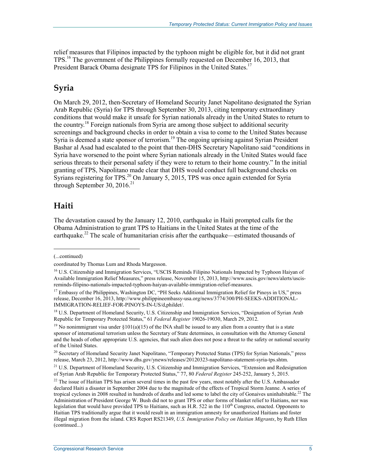relief measures that Filipinos impacted by the typhoon might be eligible for, but it did not grant TPS.16 The government of the Philippines formally requested on December 16, 2013, that President Barack Obama designate TPS for Filipinos in the United States.<sup>17</sup>

#### **Syria**

On March 29, 2012, then-Secretary of Homeland Security Janet Napolitano designated the Syrian Arab Republic (Syria) for TPS through September 30, 2013, citing temporary extraordinary conditions that would make it unsafe for Syrian nationals already in the United States to return to the country.<sup>18</sup> Foreign nationals from Syria are among those subject to additional security screenings and background checks in order to obtain a visa to come to the United States because Syria is deemed a state sponsor of terrorism.<sup>19</sup> The ongoing uprising against Syrian President Bashar al Asad had escalated to the point that then-DHS Secretary Napolitano said "conditions in Syria have worsened to the point where Syrian nationals already in the United States would face serious threats to their personal safety if they were to return to their home country." In the initial granting of TPS, Napolitano made clear that DHS would conduct full background checks on Syrians registering for TPS.<sup>20</sup> On January 5, 2015, TPS was once again extended for Syria through September 30, 2016.<sup>21</sup>

#### **Haiti**

The devastation caused by the January 12, 2010, earthquake in Haiti prompted calls for the Obama Administration to grant TPS to Haitians in the United States at the time of the earthquake.<sup>22</sup> The scale of humanitarian crisis after the earthquake—estimated thousands of

<sup>(...</sup>continued)

coordinated by Thomas Lum and Rhoda Margesson.

<sup>&</sup>lt;sup>16</sup> U.S. Citizenship and Immigration Services, "USCIS Reminds Filipino Nationals Impacted by Typhoon Haiyan of Available Immigration Relief Measures," press release, November 15, 2013, http://www.uscis.gov/news/alerts/uscisreminds-filipino-nationals-impacted-typhoon-haiyan-available-immigration-relief-measures.

<sup>&</sup>lt;sup>17</sup> Embassy of the Philippines, Washington DC, "PH Seeks Additional Immigration Relief for Pinoys in US," press release, December 16, 2013, http://www.philippineembassy-usa.org/news/3774/300/PH-SEEKS-ADDITIONAL-IMMIGRATION-RELIEF-FOR-PINOYS-IN-US/d,phildet/.

<sup>&</sup>lt;sup>18</sup> U.S. Department of Homeland Security, U.S. Citizenship and Immigration Services, "Designation of Syrian Arab Republic for Temporary Protected Status," 61 *Federal Register* 19026-19030, March 29, 2012.

<sup>&</sup>lt;sup>19</sup> No nonimmigrant visa under §101(a)(15) of the INA shall be issued to any alien from a country that is a state sponsor of international terrorism unless the Secretary of State determines, in consultation with the Attorney General and the heads of other appropriate U.S. agencies, that such alien does not pose a threat to the safety or national security of the United States.

<sup>&</sup>lt;sup>20</sup> Secretary of Homeland Security Janet Napolitano, "Temporary Protected Status (TPS) for Syrian Nationals," press release, March 23, 2012, http://www.dhs.gov/ynews/releases/20120323-napolitano-statement-syria-tps.shtm.

<sup>&</sup>lt;sup>21</sup> U.S. Department of Homeland Security, U.S. Citizenship and Immigration Services, "Extension and Redesignation of Syrian Arab Republic for Temporary Protected Status," 77, 80 *Federal Register* 245-252, January 5, 2015.

 $^{22}$  The issue of Haitian TPS has arisen several times in the past few years, most notably after the U.S. Ambassador declared Haiti a disaster in September 2004 due to the magnitude of the effects of Tropical Storm Jeanne. A series of tropical cyclones in 2008 resulted in hundreds of deaths and led some to label the city of Gonaives uninhabitable.22 The Administration of President George W. Bush did not to grant TPS or other forms of blanket relief to Haitians, nor was legislation that would have provided TPS to Haitians, such as H.R. 522 in the  $110<sup>th</sup>$  Congress, enacted. Opponents to Haitian TPS traditionally argue that it would result in an immigration amnesty for unauthorized Haitians and foster illegal migration from the island. CRS Report RS21349, *U.S. Immigration Policy on Haitian Migrants*, by Ruth Ellen (continued...)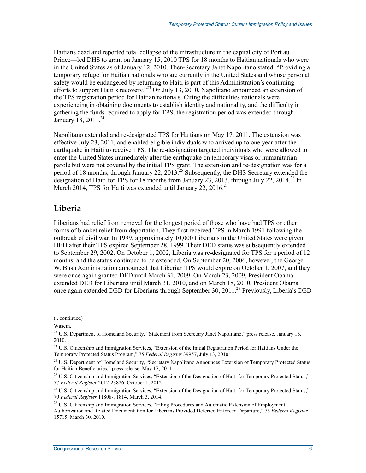Haitians dead and reported total collapse of the infrastructure in the capital city of Port au Prince—led DHS to grant on January 15, 2010 TPS for 18 months to Haitian nationals who were in the United States as of January 12, 2010. Then-Secretary Janet Napolitano stated: "Providing a temporary refuge for Haitian nationals who are currently in the United States and whose personal safety would be endangered by returning to Haiti is part of this Administration's continuing efforts to support Haiti's recovery.<sup>23</sup> On July 13, 2010, Napolitano announced an extension of the TPS registration period for Haitian nationals. Citing the difficulties nationals were experiencing in obtaining documents to establish identity and nationality, and the difficulty in gathering the funds required to apply for TPS, the registration period was extended through January 18, 2011.<sup>24</sup>

Napolitano extended and re-designated TPS for Haitians on May 17, 2011. The extension was effective July 23, 2011, and enabled eligible individuals who arrived up to one year after the earthquake in Haiti to receive TPS. The re-designation targeted individuals who were allowed to enter the United States immediately after the earthquake on temporary visas or humanitarian parole but were not covered by the initial TPS grant. The extension and re-designation was for a period of 18 months, through January 22, 2013.<sup>25</sup> Subsequently, the DHS Secretary extended the designation of Haiti for TPS for 18 months from January 23, 2013, through July 22, 2014.<sup>26</sup> In March 2014, TPS for Haiti was extended until January 22, 2016.<sup>27</sup>

#### **Liberia**

Liberians had relief from removal for the longest period of those who have had TPS or other forms of blanket relief from deportation. They first received TPS in March 1991 following the outbreak of civil war. In 1999, approximately 10,000 Liberians in the United States were given DED after their TPS expired September 28, 1999. Their DED status was subsequently extended to September 29, 2002. On October 1, 2002, Liberia was re-designated for TPS for a period of 12 months, and the status continued to be extended. On September 20, 2006, however, the George W. Bush Administration announced that Liberian TPS would expire on October 1, 2007, and they were once again granted DED until March 31, 2009. On March 23, 2009, President Obama extended DED for Liberians until March 31, 2010, and on March 18, 2010, President Obama once again extended DED for Liberians through September 30, 2011.28 Previously, Liberia's DED

<sup>(...</sup>continued)

Wasem.

<sup>&</sup>lt;sup>23</sup> U.S. Department of Homeland Security, "Statement from Secretary Janet Napolitano," press release, January 15, 2010.

<sup>&</sup>lt;sup>24</sup> U.S. Citizenship and Immigration Services, "Extension of the Initial Registration Period for Haitians Under the Temporary Protected Status Program," 75 *Federal Register* 39957, July 13, 2010.

<sup>&</sup>lt;sup>25</sup> U.S. Department of Homeland Security, "Secretary Napolitano Announces Extension of Temporary Protected Status for Haitian Beneficiaries," press release, May 17, 2011.

 $^{26}$  U.S. Citizenship and Immigration Services, "Extension of the Designation of Haiti for Temporary Protected Status," 77 *Federal Register* 2012-23826, October 1, 2012.

<sup>&</sup>lt;sup>27</sup> U.S. Citizenship and Immigration Services, "Extension of the Designation of Haiti for Temporary Protected Status," 79 *Federal Register* 11808-11814, March 3, 2014.

<sup>&</sup>lt;sup>28</sup> U.S. Citizenship and Immigration Services, "Filing Procedures and Automatic Extension of Employment Authorization and Related Documentation for Liberians Provided Deferred Enforced Departure," 75 *Federal Register* 15715, March 30, 2010.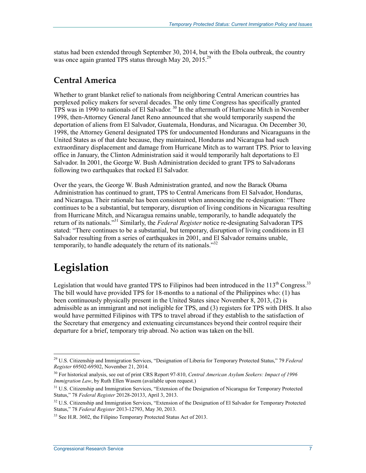status had been extended through September 30, 2014, but with the Ebola outbreak, the country was once again granted TPS status through May 20, 2015.<sup>29</sup>

#### **Central America**

Whether to grant blanket relief to nationals from neighboring Central American countries has perplexed policy makers for several decades. The only time Congress has specifically granted TPS was in 1990 to nationals of El Salvador.<sup>30</sup> In the aftermath of Hurricane Mitch in November 1998, then-Attorney General Janet Reno announced that she would temporarily suspend the deportation of aliens from El Salvador, Guatemala, Honduras, and Nicaragua. On December 30, 1998, the Attorney General designated TPS for undocumented Hondurans and Nicaraguans in the United States as of that date because, they maintained, Honduras and Nicaragua had such extraordinary displacement and damage from Hurricane Mitch as to warrant TPS. Prior to leaving office in January, the Clinton Administration said it would temporarily halt deportations to El Salvador. In 2001, the George W. Bush Administration decided to grant TPS to Salvadorans following two earthquakes that rocked El Salvador.

Over the years, the George W. Bush Administration granted, and now the Barack Obama Administration has continued to grant, TPS to Central Americans from El Salvador, Honduras, and Nicaragua. Their rationale has been consistent when announcing the re-designation: "There continues to be a substantial, but temporary, disruption of living conditions in Nicaragua resulting from Hurricane Mitch, and Nicaragua remains unable, temporarily, to handle adequately the return of its nationals."31 Similarly, the *Federal Register* notice re-designating Salvadoran TPS stated: "There continues to be a substantial, but temporary, disruption of living conditions in El Salvador resulting from a series of earthquakes in 2001, and El Salvador remains unable, temporarily, to handle adequately the return of its nationals."<sup>32</sup>

### **Legislation**

Legislation that would have granted TPS to Filipinos had been introduced in the  $113<sup>th</sup>$  Congress.<sup>33</sup> The bill would have provided TPS for 18-months to a national of the Philippines who: (1) has been continuously physically present in the United States since November 8, 2013, (2) is admissible as an immigrant and not ineligible for TPS, and (3) registers for TPS with DHS. It also would have permitted Filipinos with TPS to travel abroad if they establish to the satisfaction of the Secretary that emergency and extenuating circumstances beyond their control require their departure for a brief, temporary trip abroad. No action was taken on the bill.

<sup>1</sup> 29 U.S. Citizenship and Immigration Services, "Designation of Liberia for Temporary Protected Status," 79 *Federal Register* 69502-69502, November 21, 2014.

<sup>30</sup> For historical analysis, see out of print CRS Report 97-810, *Central American Asylum Seekers: Impact of 1996 Immigration Law*, by Ruth Ellen Wasem (available upon request.)

<sup>&</sup>lt;sup>31</sup> U.S. Citizenship and Immigration Services, "Extension of the Designation of Nicaragua for Temporary Protected Status," 78 *Federal Register* 20128-20133, April 3, 2013.

<sup>&</sup>lt;sup>32</sup> U.S. Citizenship and Immigration Services, "Extension of the Designation of El Salvador for Temporary Protected Status," 78 *Federal Register* 2013-12793, May 30, 2013.

<sup>&</sup>lt;sup>33</sup> See H.R. 3602, the Filipino Temporary Protected Status Act of 2013.